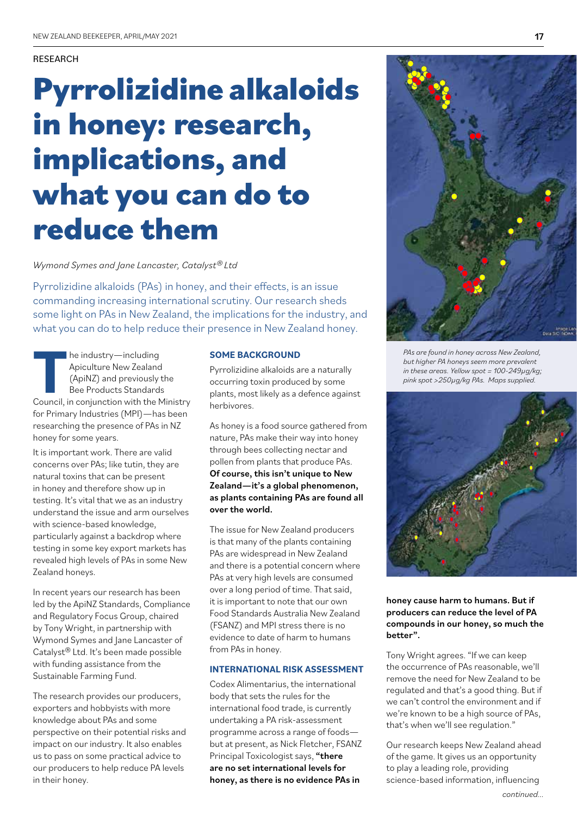# RESEARCH

# **Pyrrolizidine alkaloids in honey: research, implications, and what you can do to reduce them**

*Wymond Symes and Jane Lancaster, Catalyst® Ltd*

Pyrrolizidine alkaloids (PAs) in honey, and their effects, is an issue commanding increasing international scrutiny. Our research sheds some light on PAs in New Zealand, the implications for the industry, and what you can do to help reduce their presence in New Zealand honey.

**The industry—including<br>
Apiculture New Zealand<br>
(ApiNZ) and previously the<br>
Bee Products Standards<br>
Council, in conjunction with the Ministry** Apiculture New Zealand (ApiNZ) and previously the Bee Products Standards for Primary Industries (MPI)—has been researching the presence of PAs in NZ honey for some years.

It is important work. There are valid concerns over PAs; like tutin, they are natural toxins that can be present in honey and therefore show up in testing. It's vital that we as an industry understand the issue and arm ourselves with science-based knowledge, particularly against a backdrop where testing in some key export markets has revealed high levels of PAs in some New Zealand honeys.

In recent years our research has been led by the ApiNZ Standards, Compliance and Regulatory Focus Group, chaired by Tony Wright, in partnership with Wymond Symes and Jane Lancaster of Catalyst® Ltd. It's been made possible with funding assistance from the Sustainable Farming Fund.

The research provides our producers, exporters and hobbyists with more knowledge about PAs and some perspective on their potential risks and impact on our industry. It also enables us to pass on some practical advice to our producers to help reduce PA levels in their honey.

### **SOME BACKGROUND**

Pyrrolizidine alkaloids are a naturally occurring toxin produced by some plants, most likely as a defence against herbivores.

As honey is a food source gathered from nature, PAs make their way into honey through bees collecting nectar and pollen from plants that produce PAs. Of course, this isn't unique to New Zealand—it's a global phenomenon, as plants containing PAs are found all over the world.

The issue for New Zealand producers is that many of the plants containing PAs are widespread in New Zealand and there is a potential concern where PAs at very high levels are consumed over a long period of time. That said, it is important to note that our own Food Standards Australia New Zealand (FSANZ) and MPI stress there is no evidence to date of harm to humans from PAs in honey.

#### **INTERNATIONAL RISK ASSESSMENT**

Codex Alimentarius, the international body that sets the rules for the international food trade, is currently undertaking a PA risk-assessment programme across a range of foods but at present, as Nick Fletcher, FSANZ Principal Toxicologist says, "there are no set international levels for honey, as there is no evidence PAs in



*PAs are found in honey across New Zealand, but higher PA honeys seem more prevalent in these areas. Yellow spot = 100-249µg/kg; pink spot >250µg/kg PAs. Maps supplied.*



honey cause harm to humans. But if producers can reduce the level of PA compounds in our honey, so much the better".

Tony Wright agrees. "If we can keep the occurrence of PAs reasonable, we'll remove the need for New Zealand to be regulated and that's a good thing. But if we can't control the environment and if we're known to be a high source of PAs, that's when we'll see regulation."

Our research keeps New Zealand ahead of the game. It gives us an opportunity to play a leading role, providing science-based information, influencing